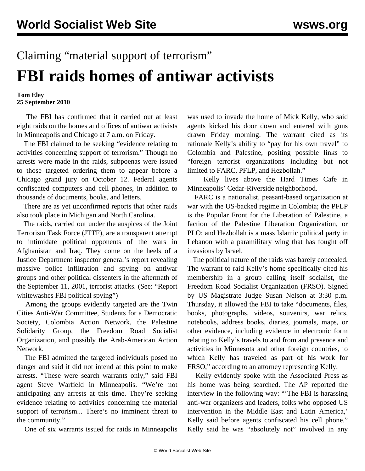## Claiming "material support of terrorism" **FBI raids homes of antiwar activists**

## **Tom Eley 25 September 2010**

 The FBI has confirmed that it carried out at least eight raids on the homes and offices of antiwar activists in Minneapolis and Chicago at 7 a.m. on Friday.

 The FBI claimed to be seeking "evidence relating to activities concerning support of terrorism." Though no arrests were made in the raids, subpoenas were issued to those targeted ordering them to appear before a Chicago grand jury on October 12. Federal agents confiscated computers and cell phones, in addition to thousands of documents, books, and letters.

 There are as yet unconfirmed reports that other raids also took place in Michigan and North Carolina.

 The raids, carried out under the auspices of the Joint Terrorism Task Force (JTTF), are a transparent attempt to intimidate political opponents of the wars in Afghanistan and Iraq. They come on the heels of a Justice Department inspector general's report revealing massive police infiltration and spying on antiwar groups and other political dissenters in the aftermath of the September 11, 2001, terrorist attacks. (See: "[Report](/en/articles/2010/sep2010/fbir-s22.shtml) [whitewashes FBI political spying"](/en/articles/2010/sep2010/fbir-s22.shtml))

 Among the groups evidently targeted are the Twin Cities Anti-War Committee, Students for a Democratic Society, Colombia Action Network, the Palestine Solidarity Group, the Freedom Road Socialist Organization, and possibly the Arab-American Action Network.

 The FBI admitted the targeted individuals posed no danger and said it did not intend at this point to make arrests. "These were search warrants only," said FBI agent Steve Warfield in Minneapolis. "We're not anticipating any arrests at this time. They're seeking evidence relating to activities concerning the material support of terrorism... There's no imminent threat to the community."

One of six warrants issued for raids in Minneapolis

was used to invade the home of Mick Kelly, who said agents kicked his door down and entered with guns drawn Friday morning. The warrant cited as its rationale Kelly's ability to "pay for his own travel" to Colombia and Palestine, positing possible links to "foreign terrorist organizations including but not limited to FARC, PFLP, and Hezbollah."

 Kelly lives above the Hard Times Cafe in Minneapolis' Cedar-Riverside neighborhood.

 FARC is a nationalist, peasant-based organization at war with the US-backed regime in Colombia; the PFLP is the Popular Front for the Liberation of Palestine, a faction of the Palestine Liberation Organization, or PLO; and Hezbollah is a mass Islamic political party in Lebanon with a paramilitary wing that has fought off invasions by Israel.

 The political nature of the raids was barely concealed. The warrant to raid Kelly's home specifically cited his membership in a group calling itself socialist, the Freedom Road Socialist Organization (FRSO). Signed by US Magistrate Judge Susan Nelson at 3:30 p.m. Thursday, it allowed the FBI to take "documents, files, books, photographs, videos, souvenirs, war relics, notebooks, address books, diaries, journals, maps, or other evidence, including evidence in electronic form relating to Kelly's travels to and from and presence and activities in Minnesota and other foreign countries, to which Kelly has traveled as part of his work for FRSO," according to an attorney representing Kelly.

 Kelly evidently spoke with the Associated Press as his home was being searched. The AP reported the interview in the following way: "'The FBI is harassing anti-war organizers and leaders, folks who opposed US intervention in the Middle East and Latin America,' Kelly said before agents confiscated his cell phone." Kelly said he was "absolutely not" involved in any